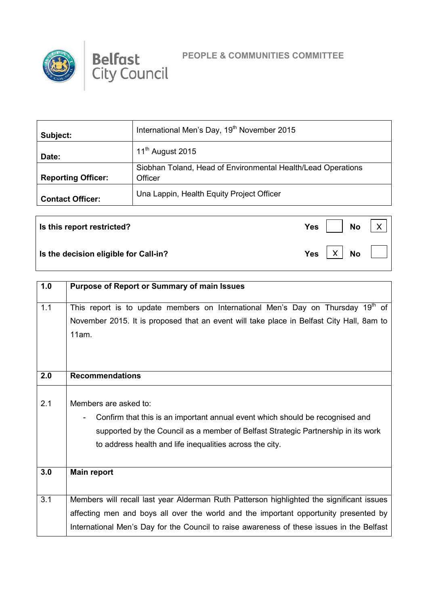



 $\boxed{\mathsf{X}}$  No

 $\overline{X}$ 

| Subject:                  | International Men's Day, 19 <sup>th</sup> November 2015      |
|---------------------------|--------------------------------------------------------------|
| Date:                     | 11 <sup>th</sup> August 2015                                 |
|                           | Siobhan Toland, Head of Environmental Health/Lead Operations |
| <b>Reporting Officer:</b> | Officer                                                      |
| <b>Contact Officer:</b>   | Una Lappin, Health Equity Project Officer                    |

**Is this report restricted?** No *Yes* No

**Is the decision eligible for Call-in?** The No **Property CONS** 

| 1.0 | <b>Purpose of Report or Summary of main Issues</b>                                          |
|-----|---------------------------------------------------------------------------------------------|
| 1.1 | This report is to update members on International Men's Day on Thursday 19 <sup>th</sup> of |
|     | November 2015. It is proposed that an event will take place in Belfast City Hall, 8am to    |
|     | 11am.                                                                                       |
|     |                                                                                             |
|     |                                                                                             |
|     |                                                                                             |
| 2.0 | <b>Recommendations</b>                                                                      |
|     |                                                                                             |
| 2.1 | Members are asked to:                                                                       |
|     | Confirm that this is an important annual event which should be recognised and               |
|     | supported by the Council as a member of Belfast Strategic Partnership in its work           |
|     | to address health and life inequalities across the city.                                    |
|     |                                                                                             |
| 3.0 | <b>Main report</b>                                                                          |
|     |                                                                                             |
|     |                                                                                             |
| 3.1 | Members will recall last year Alderman Ruth Patterson highlighted the significant issues    |
|     | affecting men and boys all over the world and the important opportunity presented by        |
|     | International Men's Day for the Council to raise awareness of these issues in the Belfast   |
|     |                                                                                             |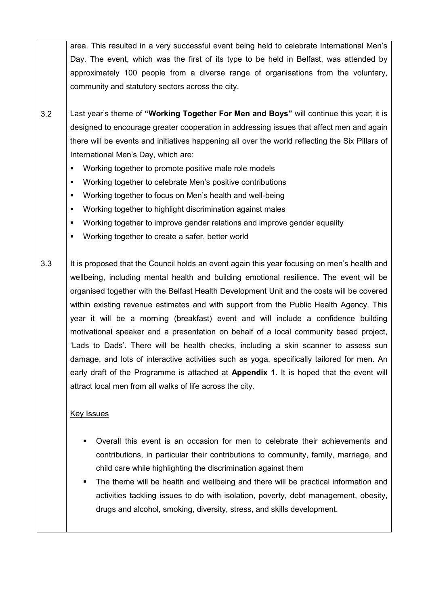area. This resulted in a very successful event being held to celebrate International Men's Day. The event, which was the first of its type to be held in Belfast, was attended by approximately 100 people from a diverse range of organisations from the voluntary, community and statutory sectors across the city.

- 3.2 Last year's theme of **"Working Together For Men and Boys"** will continue this year; it is designed to encourage greater cooperation in addressing issues that affect men and again there will be events and initiatives happening all over the world reflecting the Six Pillars of International Men's Day, which are:
	- Working together to promote positive male role models
	- Working together to celebrate Men's positive contributions
	- Working together to focus on Men's health and well-being
	- Working together to highlight discrimination against males
	- Working together to improve gender relations and improve gender equality
	- Working together to create a safer, better world

3.3 It is proposed that the Council holds an event again this year focusing on men's health and wellbeing, including mental health and building emotional resilience. The event will be organised together with the Belfast Health Development Unit and the costs will be covered within existing revenue estimates and with support from the Public Health Agency. This year it will be a morning (breakfast) event and will include a confidence building motivational speaker and a presentation on behalf of a local community based project, 'Lads to Dads'. There will be health checks, including a skin scanner to assess sun damage, and lots of interactive activities such as yoga, specifically tailored for men. An early draft of the Programme is attached at **Appendix 1**. It is hoped that the event will attract local men from all walks of life across the city.

## Key Issues

- Overall this event is an occasion for men to celebrate their achievements and contributions, in particular their contributions to community, family, marriage, and child care while highlighting the discrimination against them
- The theme will be health and wellbeing and there will be practical information and activities tackling issues to do with isolation, poverty, debt management, obesity, drugs and alcohol, smoking, diversity, stress, and skills development.